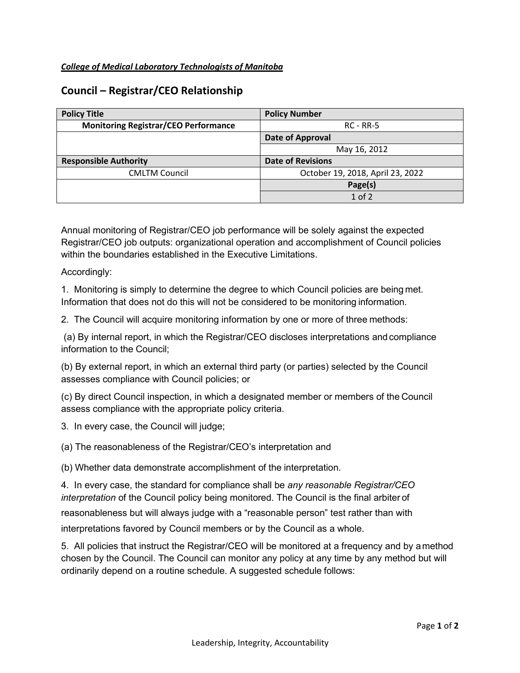## **Council – Registrar/CEO Relationship**

| <b>Policy Title</b>                         | <b>Policy Number</b>             |  |  |
|---------------------------------------------|----------------------------------|--|--|
| <b>Monitoring Registrar/CEO Performance</b> | $RC - RR-5$                      |  |  |
|                                             | Date of Approval                 |  |  |
|                                             | May 16, 2012                     |  |  |
| <b>Responsible Authority</b>                | <b>Date of Revisions</b>         |  |  |
| <b>CMLTM Council</b>                        | October 19, 2018, April 23, 2022 |  |  |
|                                             | Page(s)                          |  |  |
|                                             | $1$ of $2$                       |  |  |

Annual monitoring of Registrar/CEO job performance will be solely against the expected Registrar/CEO job outputs: organizational operation and accomplishment of Council policies within the boundaries established in the Executive Limitations.

Accordingly:

1. Monitoring is simply to determine the degree to which Council policies are being met. Information that does not do this will not be considered to be monitoring information.

2. The Council will acquire monitoring information by one or more of three methods:

(a) By internal report, in which the Registrar/CEO discloses interpretations and compliance information to the Council;

(b) By external report, in which an external third party (or parties) selected by the Council assesses compliance with Council policies; or

(c) By direct Council inspection, in which a designated member or members of the Council assess compliance with the appropriate policy criteria.

3. In every case, the Council will judge;

(a) The reasonableness of the Registrar/CEO's interpretation and

(b) Whether data demonstrate accomplishment of the interpretation.

4. In every case, the standard for compliance shall be *any reasonable Registrar/CEO interpretation* of the Council policy being monitored. The Council is the final arbiter of reasonableness but will always judge with a "reasonable person" test rather than with

interpretations favored by Council members or by the Council as a whole.

5. All policies that instruct the Registrar/CEO will be monitored at a frequency and by amethod chosen by the Council. The Council can monitor any policy at any time by any method but will ordinarily depend on a routine schedule. A suggested schedule follows: